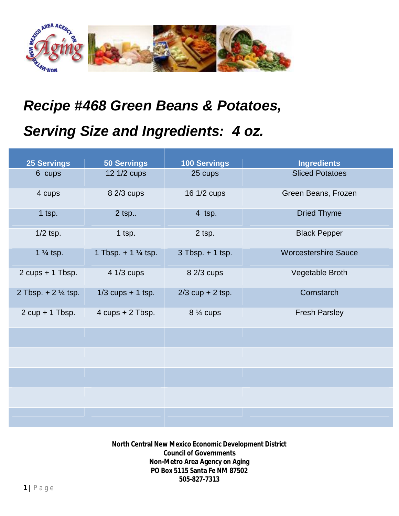

## *Recipe #468 Green Beans & Potatoes,*

## *Serving Size and Ingredients: 4 oz.*

| <b>25 Servings</b>            | <b>50 Servings</b>                 | <b>100 Servings</b>  | <b>Ingredients</b>          |
|-------------------------------|------------------------------------|----------------------|-----------------------------|
| 6 cups                        | 12 1/2 cups                        | 25 cups              | <b>Sliced Potatoes</b>      |
| 4 cups                        | 8 2/3 cups                         | 16 1/2 cups          | Green Beans, Frozen         |
| 1 tsp.                        | $2$ tsp                            | 4 tsp.               | <b>Dried Thyme</b>          |
| $1/2$ tsp.                    | 1 tsp.                             | 2 tsp.               | <b>Black Pepper</b>         |
| 1 $\frac{1}{4}$ tsp.          | 1 Tbsp. $+ 1 \frac{1}{4}$ tsp.     | $3$ Tbsp. $+$ 1 tsp. | <b>Worcestershire Sauce</b> |
| $2$ cups + 1 Tbsp.            | $41/3$ cups                        | 8 2/3 cups           | Vegetable Broth             |
| 2 Tbsp. $+ 2\frac{1}{4}$ tsp. | $1/3$ cups + 1 tsp.                | $2/3$ cup + 2 tsp.   | Cornstarch                  |
| $2 cup + 1 Tbsp.$             | $4 \text{ cups} + 2 \text{ Tbsp}.$ | 8 1/4 cups           | <b>Fresh Parsley</b>        |
|                               |                                    |                      |                             |
|                               |                                    |                      |                             |
|                               |                                    |                      |                             |
|                               |                                    |                      |                             |
|                               |                                    |                      |                             |

**North Central New Mexico Economic Development District Council of Governments Non-Metro Area Agency on Aging PO Box 5115 Santa Fe NM 87502 505-827-7313**